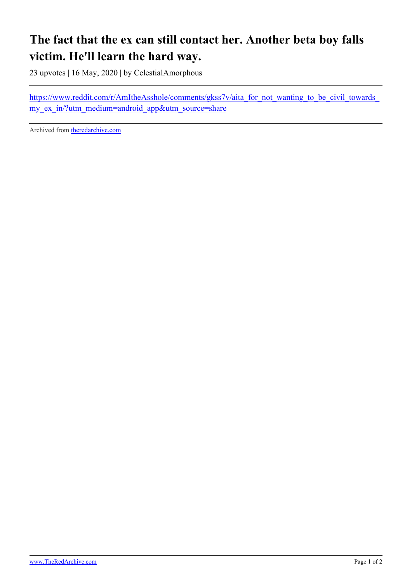## **The fact that the ex can still contact her. Another beta boy falls victim. He'll learn the hard way.**

23 upvotes | 16 May, 2020 | by CelestialAmorphous

https://www.reddit.com/r/AmItheAsshole/comments/gkss7v/aita\_for\_not\_wanting\_to\_be\_civil\_towards my ex in/?utm\_medium=android\_app&utm\_source=share

Archived from [theredarchive.com](https://theredarchive.com/r/MGTOW/the-fact-that-the-ex-can-still-contact-her-another.665308)